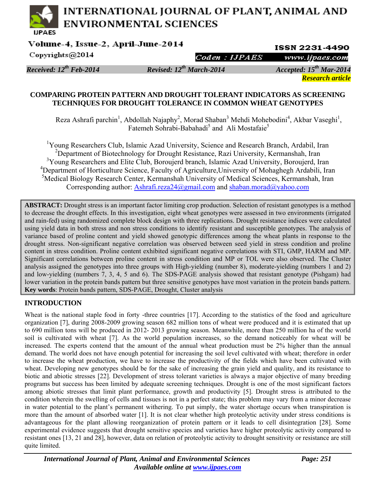# **INTERNATIONAL JOURNAL OF PLANT, ANIMAL AND ENVIRONMENTAL SCIENCES**

Volume-4, Issue-2, April-June-2014

**ISSN 2231-4490** www.ijpaes.com

Copyrights@2014

Coden : IJPAES

*Received: 12th Feb-2014 Revised: 12th March-2014 Accepted: 15th Mar-2014 Research article* 

### **COMPARING PROTEIN PATTERN AND DROUGHT TOLERANT INDICATORS AS SCREENING TECHNIQUES FOR DROUGHT TOLERANCE IN COMMON WHEAT GENOTYPES**

Reza Ashrafi parchin<sup>1</sup>, Abdollah Najaphy<sup>2</sup>, Morad Shaban<sup>3</sup> Mehdi Mohebodini<sup>4</sup>, Akbar Vaseghi<sup>1</sup>, Fatemeh Sohrabi-Babahadi<sup>5</sup> and Ali Mostafaie<sup>5</sup>

<sup>1</sup>Young Researchers Club, Islamic Azad University, Science and Research Branch, Ardabil, Iran <sup>2</sup>Department of Biotechnology for Drought Resistance, Razi University, Kermanshah, Iran <sup>3</sup>Young Researchers and Elite Club, Boroujerd branch, Islamic Azad University, Boroujerd, Iran <sup>4</sup>Department of Horticulture Science, Faculty of Agriculture, University of Mohaghegh Ardabili, Iran <sup>5</sup>Medical Biology Research Center, Kermanshah University of Medical Sciences, Kermanshah, Iran Corresponding author: Ashrafi.reza24@gmail.com and shaban.morad@yahoo.com

**ABSTRACT:** Drought stress is an important factor limiting crop production. Selection of resistant genotypes is a method to decrease the drought effects. In this investigation, eight wheat genotypes were assessed in two environments (irrigated and rain-fed) using randomized complete block design with three replications. Drought resistance indices were calculated using yield data in both stress and non stress conditions to identify resistant and susceptible genotypes. The analysis of variance based of proline content and yield showed genotypic differences among the wheat plants in response to the drought stress. Non-significant negative correlation was observed between seed yield in stress condition and proline content in stress condition. Proline content exhibited significant negative correlations with STI, GMP, HARM and MP. Significant correlations between proline content in stress condition and MP or TOL were also observed. The Cluster analysis assigned the genotypes into three groups with High-yielding (number 8), moderate-yielding (numbers 1 and 2) and low-yielding (numbers 7, 3, 4, 5 and 6). The SDS-PAGE analysis showed that resistant genotype (Pishgam) had lower variation in the protein bands pattern but three sensitive genotypes have most variation in the protein bands pattern. **Key words**: Protein bands pattern, SDS-PAGE, Drought, Cluster analysis

# **INTRODUCTION**

Wheat is the national staple food in forty -three countries [17]. According to the statistics of the food and agriculture organization [7], during 2008-2009 growing season 682 million tons of wheat were produced and it is estimated that up to 690 million tons will be produced in 2012- 2013 growing season. Meanwhile, more than 250 million ha of the world soil is cultivated with wheat [7]. As the world population increases, so the demand noticeably for wheat will be increased. The experts contend that the amount of the annual wheat production must be 2% higher than the annual demand. The world does not have enough potential for increasing the soil level cultivated with wheat; therefore in order to increase the wheat production, we have to increase the productivity of the fields which have been cultivated with wheat. Developing new genotypes should be for the sake of increasing the grain yield and quality, and its resistance to biotic and abiotic stresses [22]. Development of stress tolerant varieties is always a major objective of many breeding programs but success has been limited by adequate screening techniques. Drought is one of the most significant factors among abiotic stresses that limit plant performance, growth and productivity [5]. Drought stress is attributed to the condition wherein the swelling of cells and tissues is not in a perfect state; this problem may vary from a minor decrease in water potential to the plant's permanent withering. To put simply, the water shortage occurs when transpiration is more than the amount of absorbed water [1]. It is not clear whether high proteolytic activity under stress conditions is advantageous for the plant allowing reorganization of protein pattern or it leads to cell disintegration [28]. Some experimental evidence suggests that drought sensitive species and varieties have higher proteolytic activity compared to resistant ones [13, 21 and 28], however, data on relation of proteolytic activity to drought sensitivity or resistance are still quite limited.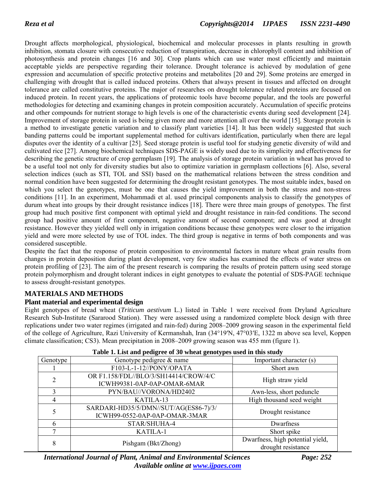Drought affects morphological, physiological, biochemical and molecular processes in plants resulting in growth inhibition, stomata closure with consecutive reduction of transpiration, decrease in chlorophyll content and inhibition of photosynthesis and protein changes [16 and 30]. Crop plants which can use water most efficiently and maintain acceptable yields are perspective regarding their tolerance. Drought tolerance is achieved by modulation of gene expression and accumulation of specific protective proteins and metabolites [20 and 29]. Some proteins are emerged in challenging with drought that is called induced proteins. Others that always present in tissues and affected on drought tolerance are called constitutive proteins. The major of researches on drought tolerance related proteins are focused on induced protein. In recent years, the applications of proteomic tools have become popular, and the tools are powerful methodologies for detecting and examining changes in protein composition accurately. Accumulation of specific proteins and other compounds for nutrient storage to high levels is one of the characteristic events during seed development [24]. Improvement of storage protein in seed is being given more and more attention all over the world [15]. Storage protein is a method to investigate genetic variation and to classify plant varieties [14]. It has been widely suggested that such banding patterns could be important supplemental method for cultivars identification, particularly when there are legal disputes over the identity of a cultivar [25]. Seed storage protein is useful tool for studying genetic diversity of wild and cultivated rice [27]. Among biochemical techniques SDS-PAGE is widely used due to its simplicity and effectiveness for describing the genetic structure of crop germplasm [19]. The analysis of storage protein variation in wheat has proved to be a useful tool not only for diversity studies but also to optimize variation in germplasm collections [6]. Also, several selection indices (such as STI, TOL and SSI) based on the mathematical relations between the stress condition and normal condition have been suggested for determining the drought resistant genotypes. The most suitable index, based on which you select the genotypes, must be one that causes the yield improvement in both the stress and non-stress conditions [11]. In an experiment, Mohammadi et al. used principal components analysis to classify the genotypes of durum wheat into groups by their drought resistance indices [18]. There were three main groups of genotypes. The first group had much positive first component with optimal yield and drought resistance in rain-fed conditions. The second group had positive amount of first component, negative amount of second component; and was good at drought resistance. However they yielded well only in irrigation conditions because these genotypes were closer to the irrigation yield and were more selected by use of TOL index. The third group is negative in terms of both components and was considered susceptible.

Despite the fact that the response of protein composition to environmental factors in mature wheat grain results from changes in protein deposition during plant development, very few studies has examined the effects of water stress on protein profiling of [23]. The aim of the present research is comparing the results of protein pattern using seed storage protein polymorphism and drought tolerant indices in eight genotypes to evaluate the potential of SDS-PAGE technique to assess drought-resistant genotypes.

# **MATERIALS AND METHODS**

#### **Plant material and experimental design**

Eight genotypes of bread wheat (*Triticum aestivum* L.) listed in Table 1 were received from Dryland Agriculture Research Sub-Institute (Sararood Station). They were assessed using a randomized complete block design with three replications under two water regimes (irrigated and rain-fed) during 2008–2009 growing season in the experimental field of the college of Agriculture, Razi University of Kermanshah, Iran (34°19′N, 47°03′E, 1322 m above sea level, Koppen climate classification; CS3). Mean precipitation in 2008–2009 growing season was 455 mm (figure 1).

| <b>Table 1.</b> List and peuglee of 50 wheat genotypes used in this study |                                                                        |                                                        |  |  |  |  |  |  |
|---------------------------------------------------------------------------|------------------------------------------------------------------------|--------------------------------------------------------|--|--|--|--|--|--|
| Genotype                                                                  | Genotype pedigree & name                                               | Important character (s)                                |  |  |  |  |  |  |
|                                                                           | F103-L-1-12//PONY/OPATA                                                | Short awn                                              |  |  |  |  |  |  |
| $\mathfrak{D}$                                                            | OR F1.158/FDL//BLO/3/SH14414/CROW/4/C<br>ICWH99381-0AP-0AP-OMAR-6MAR   | High straw yield                                       |  |  |  |  |  |  |
|                                                                           | PYN/BAU//VORONA/HD2402                                                 | Awn-less, short peduncle                               |  |  |  |  |  |  |
| 4                                                                         | KATILA-13                                                              | High thousand seed weight                              |  |  |  |  |  |  |
|                                                                           | SARDARI-HD35/5/DMN//SUT/AG(ES86-7)/3/<br>ICWH99-0552-0AP-0AP-OMAR-3MAR | Drought resistance                                     |  |  |  |  |  |  |
| 6                                                                         | STAR/SHUHA-4                                                           | Dwarfness                                              |  |  |  |  |  |  |
|                                                                           | KATILA-1                                                               | Short spike                                            |  |  |  |  |  |  |
| 8                                                                         | Pishgam (Bkt/Zhong)                                                    | Dwarfness, high potential yield,<br>drought resistance |  |  |  |  |  |  |

|  | Table 1. List and pedigree of 30 wheat genotypes used in this study |
|--|---------------------------------------------------------------------|
|  |                                                                     |

*International Journal of Plant, Animal and Environmental Sciences Page: 252 Available online at www.ijpaes.com*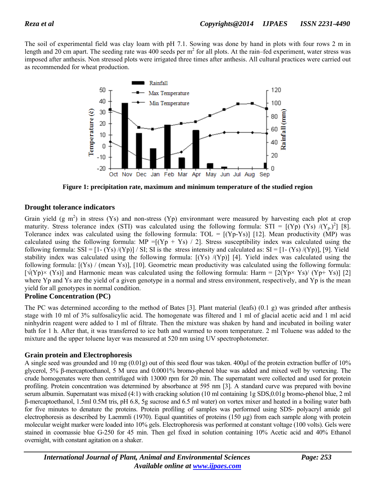The soil of experimental field was clay loam with pH 7.1. Sowing was done by hand in plots with four rows 2 m in length and 20 cm apart. The seeding rate was 400 seeds per  $m^2$  for all plots. At the rain–fed experiment, water stress was imposed after anthesis. Non stressed plots were irrigated three times after anthesis. All cultural practices were carried out as recommended for wheat production.



**Figure 1: precipitation rate, maximum and minimum temperature of the studied region** 

# **Drought tolerance indicators**

Grain yield  $(g m^2)$  in stress (Ys) and non-stress (Yp) environmant were measured by harvesting each plot at crop maturity. Stress tolerance index (STI) was calculated using the following formula: STI =  $[(Yp) (Ys) / (Y_p)^2]$  [8]. Tolerance index was calculated using the following formula:  $TOL = [(Yp-Ys)]$  [12]. Mean productivity (MP) was calculated using the following formula: MP =  $[(Yp + Ys) / 2]$ . Stress susceptibility index was calculated using the following formula: SSI =  $[1-(Ys)/(Yp)]/$  SI; SI is the stress intensity and calculated as: SI =  $[1-(Ys)/(Yp)]$ , [9]. Yield stability index was calculated using the following formula: [(Ys) /(Yp)] [4]. Yield index was calculated using the following formula: [(Ys) / (mean Ys)], [10]. Geometric mean productivity was calculated using the following formula:  $[\sqrt{(Yp)} \times (Ys)]$  and Harmonic mean was calculated using the following formula: Harm = [2(Yp× Ys)/ (Yp+ Ys)] [2] where Yp and Ys are the yield of a given genotype in a normal and stress environment, respectively, and Yp is the mean yield for all genotypes in normal condition.

#### **Proline Concentration (PC)**

The PC was determined according to the method of Bates [3]. Plant material (leafs) (0.1 g) was grinded after anthesis stage with 10 ml of 3% sulfosalicylic acid. The homogenate was filtered and 1 ml of glacial acetic acid and 1 ml acid ninhydrin reagent were added to 1 ml of filtrate. Then the mixture was shaken by hand and incubated in boiling water bath for 1 h. After that, it was transferred to ice bath and warmed to room temperature. 2 ml Toluene was added to the mixture and the upper toluene layer was measured at 520 nm using UV spectrophotometer.

# **Grain protein and Electrophoresis**

A single seed was grounded and 10 mg (0.01g) out of this seed flour was taken. 400µl of the protein extraction buffer of 10% glycerol, 5% β-mercaptoethanol, 5 M urea and 0.0001% bromo-phenol blue was added and mixed well by vortexing. The crude homogenates were then centrifuged with 13000 rpm for 20 min. The supernatant were collected and used for protein profiling. Protein concentration was determined by absorbance at 595 nm [3]. A standard curve was prepared with bovine serum albumin. Supernatant was mixed (4:1) with cracking solution (10 ml containing 1g SDS,0.01g bromo-phenol blue, 2 ml β-mercaptoethanol, 1.5ml 0.5M tris, pH 6.8, 5g sucrose and 6.5 ml water) on vortex mixer and heated in a boiling water bath for five minutes to denature the proteins. Protein profiling of samples was performed using SDS- polyacryl amide gel electrophoresis as described by Laemmli (1970). Equal quantities of proteins (150 µg) from each sample along with protein molecular weight marker were loaded into 10% gels. Electrophoresis was performed at constant voltage (100 volts). Gels were stained in coomassie blue G-250 for 45 min. Then gel fixed in solution containing 10% Acetic acid and 40% Ethanol overnight, with constant agitation on a shaker.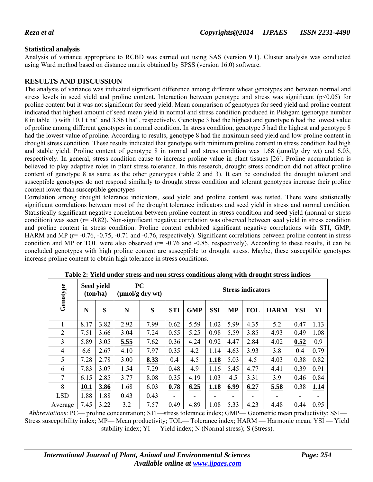## **Statistical analysis**

Analysis of variance appropriate to RCBD was carried out using SAS (version 9.1). Cluster analysis was conducted using Ward method based on distance matrix obtained by SPSS (version 16.0) software.

### **RESULTS AND DISCUSSION**

The analysis of variance was indicated significant difference among different wheat genotypes and between normal and stress levels in seed yield and proline content. Interaction between genotype and stress was significant ( $p<0.05$ ) for proline content but it was not significant for seed yield. Mean comparison of genotypes for seed yield and proline content indicated that highest amount of seed mean yield in normal and stress condition produced in Pishgam (genotype number 8 in table 1) with 10.1 t ha<sup>-1</sup> and 3.86 t ha<sup>-1</sup>, respectively. Genotype 3 had the highest and genotype 6 had the lowest value of proline among different genotypes in normal condition. In stress condition, genotype 5 had the highest and genotype 8 had the lowest value of proline. According to results, genotype 8 had the maximum seed yield and low proline content in drought stress condition. These results indicated that genotype with minimum proline content in stress condition had high and stable yield. Proline content of genotype 8 in normal and stress condition was  $1.68$  ( $\mu$ mol/g dry wt) and  $6.03$ , respectively. In general, stress condition cause to increase proline value in plant tissues [26]. Proline accumulation is believed to play adaptive roles in plant stress tolerance. In this research, drought stress condition did not affect proline content of genotype 8 as same as the other genotypes (table 2 and 3). It can be concluded the drought tolerant and susceptible genotypes do not respond similarly to drought stress condition and tolerant genotypes increase their proline content lower than susceptible genotypes

Correlation among drought tolerance indicators, seed yield and proline content was tested. There were statistically significant correlations between most of the drought tolerance indicators and seed yield in stress and normal condition. Statistically significant negative correlation between proline content in stress condition and seed yield (normal or stress condition) was seen (r= -0.82). Non-significant negative correlation was observed between seed yield in stress condition and proline content in stress condition. Proline content exhibited significant negative correlations with STI, GMP, HARM and MP ( $r = -0.76, -0.75, -0.71$  and  $-0.76$ , respectively). Significant correlations between proline content in stress condition and MP or TOL were also observed  $(r= -0.76$  and  $-0.85$ , respectively). According to these results, it can be concluded genotypes with high proline content are susceptible to drought stress. Maybe, these susceptible genotypes increase proline content to obtain high tolerance in stress conditions.

| Genotype       | Seed yield<br>(ton/ha) |      | <b>PC</b><br>$(\mu \text{mol/g dry wt})$ |      | <b>Stress indicators</b> |            |            |           |            |             |            |      |
|----------------|------------------------|------|------------------------------------------|------|--------------------------|------------|------------|-----------|------------|-------------|------------|------|
|                | N                      | S    | N                                        | S    | <b>STI</b>               | <b>GMP</b> | <b>SSI</b> | <b>MP</b> | <b>TOL</b> | <b>HARM</b> | <b>YSI</b> | YI   |
|                | 8.17                   | 3.82 | 2.92                                     | 7.99 | 0.62                     | 5.59       | 1.02       | 5.99      | 4.35       | 5.2         | 0.47       | 1.13 |
| $\overline{2}$ | 7.51                   | 3.66 | 3.04                                     | 7.24 | 0.55                     | 5.25       | 0.98       | 5.59      | 3.85       | 4.93        | 0.49       | 1.08 |
| $\overline{3}$ | 5.89                   | 3.05 | 5.55                                     | 7.62 | 0.36                     | 4.24       | 0.92       | 4.47      | 2.84       | 4.02        | 0.52       | 0.9  |
| 4              | 6.6                    | 2.67 | 4.10                                     | 7.97 | 0.35                     | 4.2        | 1.14       | 4.63      | 3.93       | 3.8         | 0.4        | 0.79 |
| 5              | 7.28                   | 2.78 | 3.00                                     | 8.33 | 0.4                      | 4.5        | 1.18       | 5.03      | 4.5        | 4.03        | 0.38       | 0.82 |
| 6              | 7.83                   | 3.07 | 1.54                                     | 7.29 | 0.48                     | 4.9        | 1.16       | 5.45      | 4.77       | 4.41        | 0.39       | 0.91 |
| $\overline{7}$ | 6.15                   | 2.85 | 3.77                                     | 8.08 | 0.35                     | 4.19       | 1.03       | 4.5       | 3.31       | 3.9         | 0.46       | 0.84 |
| 8              | 10.1                   | 3.86 | 1.68                                     | 6.03 | 0.78                     | 6.25       | 1.18       | 6.99      | 6.27       | 5.58        | 0.38       | 1.14 |
| <b>LSD</b>     | 1.88                   | 1.88 | 0.43                                     | 0.43 |                          |            |            |           |            |             | ۰          |      |
| Average        | 7.45                   | 3.22 | 3.2                                      | 7.57 | 0.49                     | 4.89       | 1.08       | 5.33      | 4.23       | 4.48        | 0.44       | 0.95 |

**Table 2: Yield under stress and non stress conditions along with drought stress indices** 

*Abbreviations*: PC— proline concentration; STI—stress tolerance index; GMP— Geometric mean productivity; SSI— Stress susceptibility index; MP— Mean productivity; TOL— Tolerance index; HARM — Harmonic mean; YSI — Yield stability index; YI — Yield index; N (Normal stress); S (Stress).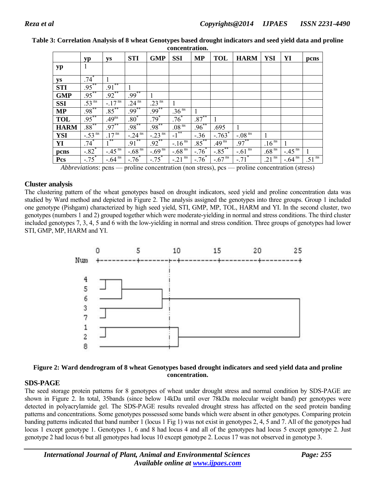|             | yp                     | ys                    | <b>STI</b>             | <b>GMP</b>             | <b>SSI</b>          | <b>MP</b>  | <b>TOL</b>            | <b>HARM</b>            | <b>YSI</b>          | YI                     | pcns              |
|-------------|------------------------|-----------------------|------------------------|------------------------|---------------------|------------|-----------------------|------------------------|---------------------|------------------------|-------------------|
| yp          | 1                      |                       |                        |                        |                     |            |                       |                        |                     |                        |                   |
| ys          | $.74*$                 |                       |                        |                        |                     |            |                       |                        |                     |                        |                   |
| <b>STI</b>  | $.95***$               | $.91***$              |                        |                        |                     |            |                       |                        |                     |                        |                   |
| <b>GMP</b>  | $.95***$               | $.92***$              | $.99***$               |                        |                     |            |                       |                        |                     |                        |                   |
| <b>SSI</b>  | .53 ns                 | $-17^{ns}$            | $24^{ns}$              | 23 <sup>ns</sup>       |                     |            |                       |                        |                     |                        |                   |
| <b>MP</b>   | $.98***$               | $.85***$              | $.99***$               | $.99***$               | .36 <sup>ns</sup>   | 1          |                       |                        |                     |                        |                   |
| <b>TOL</b>  | $.95***$               | .49 <sup>ns</sup>     | $.80*$                 | $.79*$                 | $.76^*$             | $.87***$   |                       |                        |                     |                        |                   |
| <b>HARM</b> | $.88^{**}$             | $.97***$              | $.98***$               | $.98***$               | .08 <sup>ns</sup>   | $.96^{**}$ | .695                  |                        |                     |                        |                   |
| <b>YSI</b>  | $-.53^{\overline{ns}}$ | $17^{ns}$             | $-.24^{\overline{ns}}$ | $-.23^{\overline{ns}}$ | $-1$ <sup>**</sup>  | $-.36$     | $-.763*$              | $-.08^{\overline{ns}}$ |                     |                        |                   |
| YI          | $.74*$                 | $1***$                | $.91***$               | $.92***$               | $-.16ns$            | $.85***$   | .49 <sup>ns</sup>     | $.97***$               | .16 <sup>ns</sup>   |                        |                   |
| pcns        | $-.82$ <sup>*</sup>    | $-45^{\overline{ns}}$ | $-68^{ns}$             | $-69^{\overline{ns}}$  | $-68^{ns}$          | $-.76^*$   | $-\frac{2}{85}$       | $-.61$ <sup>ns</sup>   | .68 <sup>ns</sup>   | $-.45$ <sup>ns</sup>   |                   |
| Pcs         | $-75$ <sup>*</sup>     | $-64^{\overline{ns}}$ | $-.76^*$               | $-.75$ <sup>*</sup>    | $-21^{\frac{5}{n}}$ | $-.76^*$   | $-0.67$ <sup>ns</sup> | $-.71$ <sup>*</sup>    | $.21$ <sup>ns</sup> | $-.64^{\overline{ns}}$ | .51 <sup>ns</sup> |

**Table 3: Correlation Analysis of 8 wheat Genotypes based drought indicators and seed yield data and proline concentration.** 

*Abbreviations*: pcns — proline concentration (non stress), pcs — proline concentration (stress)

#### **Cluster analysis**

The clustering pattern of the wheat genotypes based on drought indicators, seed yield and proline concentration data was studied by Ward method and depicted in Figure 2. The analysis assigned the genotypes into three groups. Group 1 included one genotype (Pishgam) characterized by high seed yield, STI, GMP, MP, TOL, HARM and YI. In the second cluster, two genotypes (numbers 1 and 2) grouped together which were moderate-yielding in normal and stress conditions. The third cluster included genotypes 7, 3, 4, 5 and 6 with the low-yielding in normal and stress condition. Three groups of genotypes had lower STI, GMP, MP, HARM and YI.



#### **Figure 2: Ward dendrogram of 8 wheat Genotypes based drought indicators and seed yield data and proline concentration.**

#### **SDS-PAGE**

The seed storage protein patterns for 8 genotypes of wheat under drought stress and normal condition by SDS-PAGE are shown in Figure 2. In total, 35bands (since below 14kDa until over 78kDa molecular weight band) per genotypes were detected in polyacrylamide gel. The SDS-PAGE results revealed drought stress has affected on the seed protein banding patterns and concentrations. Some genotypes possessed some bands which were absent in other genotypes. Comparing protein banding patterns indicated that band number 1 (locus 1 Fig 1) was not exist in genotypes 2, 4, 5 and 7. All of the genotypes had locus 1 except genotype 1. Genotypes 1, 6 and 8 had locus 4 and all of the genotypes had locus 5 except genotype 2. Just genotype 2 had locus 6 but all genotypes had locus 10 except genotype 2. Locus 17 was not observed in genotype 3.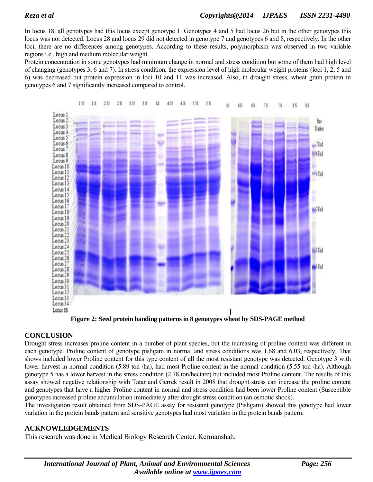In locus 18, all genotypes had this locus except genotype 1. Genotypes 4 and 5 had locus 26 but in the other genotypes this locus was not detected. Locus 28 and locus 29 did not detected in genotype 7 and genotypes 6 and 8, respectively. In the other loci, there are no differences among genotypes. According to these results, polymorphism was observed in two variable regions i.e., high and medium molecular weight.

Protein concentration in some genotypes had minimum change in normal and stress condition but some of them had high level of changing (genotypes 3, 6 and 7). In stress condition, the expression level of high molecular weight proteins (loci 1, 2, 5 and 6) was decreased but protein expression in loci 10 and 11 was increased. Also, in drought stress, wheat grain protein in genotypes 6 and 7 significantly increased compared to control.



**Figure 2: Seed protein banding patterns in 8 genotypes wheat by SDS-PAGE method** 

# **CONCLUSION**

Drought stress increases proline content in a number of plant species, but the increasing of proline content was different in each genotype. Proline content of genotype pishgam in normal and stress conditions was 1.68 and 6.03, respectively. That shows included lower Proline content for this type content of all the most resistant genotype was detected. Genotype 3 with lower harvest in normal condition (5.89 ton /ha), had most Proline content in the normal condition (5.55 ton /ha). Although genotype 5 has a lower harvest in the stress condition (2.78 ton/hectare) but included most Proline content. The results of this assay showed negative relationship with Tatar and Gerrek result in 2008 that drought stress can increase the proline content and genotypes that have a higher Proline content in normal and stress condition had been lower Proline content (Susceptible genotypes increased proline accumulation immediately after drought stress condition (an osmotic shock).

The investigation result obtained from SDS-PAGE assay for resistant genotype (Pishgam) showed this genotype had lower variation in the protein bands pattern and sensitive genotypes had most variation in the protein bands pattern.

# **ACKNOWLEDGEMENTS**

This research was done in Medical Biology Research Center, Kermanshah.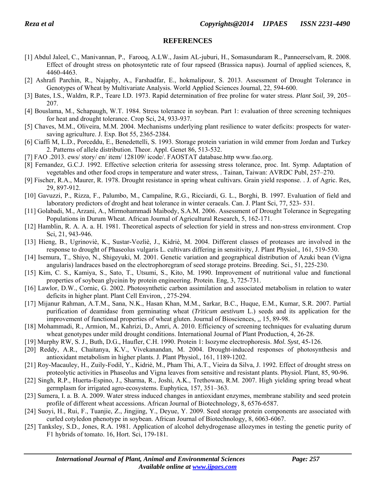#### **REFERENCES**

- [1] Abdul Jaleel, C., Manivannan, P., Farooq, A.LW., Jasim AL-juburi, H., Somasundaram R., Panneerselvam, R. 2008. Effect of drought stress on photosyntetic rate of four rapseed (Brassica napus). Journal of applied sciences*,* 8, 4460-4463.
- [2] Ashrafi Parchin, R., Najaphy, A., Farshadfar, E., hokmalipour, S. 2013. Assessment of Drought Tolerance in Genotypes of Wheat by Multivariate Analysis. World Applied Sciences Journal, 22, 594-600.
- [3] Bates, I.S., Waldrn, R.P., Teare I.D. 1973. Rapid determination of free proline for water stress. *Plant Soil,* 39, 205– 207.
- [4] Bouslama, M., Schapaugh, W.T. 1984. Stress tolerance in soybean. Part 1: evaluation of three screening techniques for heat and drought tolerance. Crop Sci, 24, 933-937.
- [5] Chaves, M.M., Oliveira, M.M. 2004. Mechanisms underlying plant resilience to water deficits: prospects for watersaving agriculture. J. Exp. Bot 55, 2365-2384.
- [6] Ciaffi M, L.D., Porceddu, E., Benedettelli, S. 1993. Storage protein variation in wild emmer from Jordan and Turkey 2. Patterns of allele distribution. Theor. Appl. Genet 86, 513-532.
- [7] FAO .2013. ews/ story/ en/ item/ 128109/ icode/. FAOSTAT database.http www.fao.org.
- [8] Fernandez, G.C.J. 1992. Effective selection criteria for assessing stress tolerance, proc. Int. Symp. Adaptation of vegetables and other food crops in temperature and water stress, . Tainan, Taiwan: AVRDC Publ, 257–270.
- [9] Fischer, R.A., Maurer, R. 1978. Drought resistance in spring wheat cultivars. Grain yield response. . J. of Agric. Res*,* 29, 897-912.
- [10] Gavuzzi, P., Rizza, F., Palumbo, M., Campaline, R.G., Ricciardi, G. L., Borghi, B. 1997. Evaluation of field and laboratory predictors of droght and heat tolerance in winter ceraeals. Can. J. Plant Sci, 77, 523- 531.
- [11] Golabadi, M., Arzani, A., Mirmohammadi Maibody, S.A.M. 2006. Assessment of Drought Tolerance in Segregating Populations in Durum Wheat. African Journal of Agricultural Research, 5, 162-171.
- [12] Hamblin, R. A. A. a. H. 1981. Theoretical aspects of selection for yield in stress and non-stress environment. Crop Sci*,* 21, 943-946.
- [13] Hieng, B., Ugrinoviè, K., Sustar-Vozliè, J., Kidriè, M. 2004. Different classes of proteases are involved in the response to drought of Phaseolus vulgaris L. cultivars differing in sensitivity, J. Plant Physiol.*,* 161, 519-530.
- [14] Isemura, T., Shiyo, N., Shigeyuki, M. 2001. Genetic variation and geographical distribution of Azuki bean (Vigna angularis) landraces based on the electrophoregram of seed storage proteins. Breeding. Sci.*,* 51, 225-230.
- [15] Kim, C. S., Kamiya, S., Sato, T., Utsumi, S., Kito, M. 1990. Improvement of nutritional value and functional properties of soybean glycinin by protein engineering. Protein. Eng, 3, 725-731.
- [16] Lawlor, D.W., Cornic, G. 2002. Photosynthetic carbon assimilation and associated metabolism in relation to water deficits in higher plant. Plant Cell Environ, , 275-294.
- [17] Mijanur Rahman, A.T.M., Sana, N.K., Hasan Khan, M.M., Sarkar, B.C., Huque, E.M., Kumar, S.R. 2007. Partial purification of deamidase from germinating wheat (*Triticum aestivum* L.) seeds and its application for the improvement of functional properties of wheat gluten. Journal of Biosciences, *,,* 15, 89-98.
- [18] Mohammadi, R., Armion, M., Kahrizi, D., Amri, A. 2010. Efficiency of screening techniques for evaluating durum wheat genotypes under mild drought conditions. International Journal of Plant Production*,* 4, 26-28.
- [19] Murphy RW, S. J., Buth, D.G., Haufler, C.H. 1990. Protein 1: Isozyme electrophoresis. *Mol. Syst*, 45-126.
- [20] Reddy, A.R., Chaitanya, K.V., Vivekanandan, M. 2004. Drought-induced responses of photosynthesis and antioxidant metabolism in higher plants. J. Plant Physiol*.,* 161, 1189-1202.
- [21] Roy-Macauley, H., Zuily-Fodil, Y., Kidriè, M., Pham Thi, A.T., Vieira da Silva, J. 1992. Effect of drought stress on proteolytic activities in Phaseolus and Vigna leaves from sensitive and resistant plants. Physiol. Plant, 85, 90-96.
- [22] Singh, R.P., Huerta-Espino, J., Sharma, R., Joshi, A.K., Trethowan, R.M. 2007. High yielding spring bread wheat germplasm for irrigated agro-ecosystems. Euphytica*,* 157, 351–363.
- [23] Sumera, I. a. B. A. 2009. Water stress induced changes in antioxidant enzymes, membrane stability and seed protein profile of different wheat accessions. African Journal of Biotechnology*,* 8, 6576-6587.
- [24] Suoyi, H., Rui, F., Tuanjie, Z., Jingjing, Y., Deyue, Y. 2009. Seed storage protein components are associated with curled cotyledon phenotype in soybean. African Journal of Biotechnology*,* 8, 6063-6067.
- [25] Tanksley, S.D., Jones, R.A. 1981. Application of alcohol dehydrogenase allozymes in testing the genetic purity of F1 hybrids of tomato. 16, Hort. Sci, 179-181.